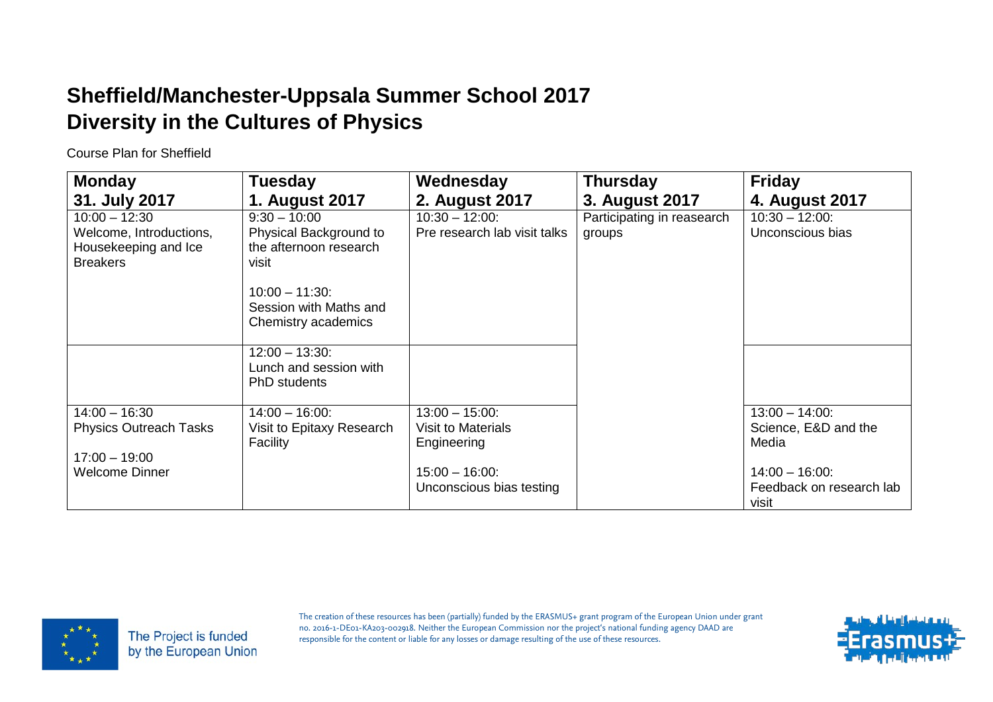Course Plan for Sheffield

| <b>Monday</b>                 | <b>Tuesday</b>                         | Wednesday                    | <b>Thursday</b>            | <b>Friday</b>            |
|-------------------------------|----------------------------------------|------------------------------|----------------------------|--------------------------|
| 31. July 2017                 | 1. August 2017                         | 2. August 2017               | 3. August 2017             | 4. August 2017           |
| $10:00 - 12:30$               | $9:30 - 10:00$                         | $10:30 - 12:00$ :            | Participating in reasearch | $10:30 - 12:00$ :        |
| Welcome, Introductions,       | Physical Background to                 | Pre research lab visit talks | groups                     | Unconscious bias         |
| Housekeeping and Ice          | the afternoon research                 |                              |                            |                          |
| <b>Breakers</b>               | visit                                  |                              |                            |                          |
|                               | $10:00 - 11:30$                        |                              |                            |                          |
|                               | Session with Maths and                 |                              |                            |                          |
|                               | Chemistry academics                    |                              |                            |                          |
|                               |                                        |                              |                            |                          |
|                               | $12:00 - 13:30$ :                      |                              |                            |                          |
|                               | Lunch and session with<br>PhD students |                              |                            |                          |
|                               |                                        |                              |                            |                          |
| $14:00 - 16:30$               | $14:00 - 16:00$ :                      | $13:00 - 15:00$ :            |                            | $13:00 - 14:00$ :        |
| <b>Physics Outreach Tasks</b> | Visit to Epitaxy Research              | <b>Visit to Materials</b>    |                            | Science, E&D and the     |
|                               | Facility                               | Engineering                  |                            | Media                    |
| $17:00 - 19:00$               |                                        |                              |                            |                          |
| <b>Welcome Dinner</b>         |                                        | $15:00 - 16:00$ :            |                            | $14:00 - 16:00$ :        |
|                               |                                        | Unconscious bias testing     |                            | Feedback on research lab |
|                               |                                        |                              |                            | visit                    |



The Project is funded by the European Union

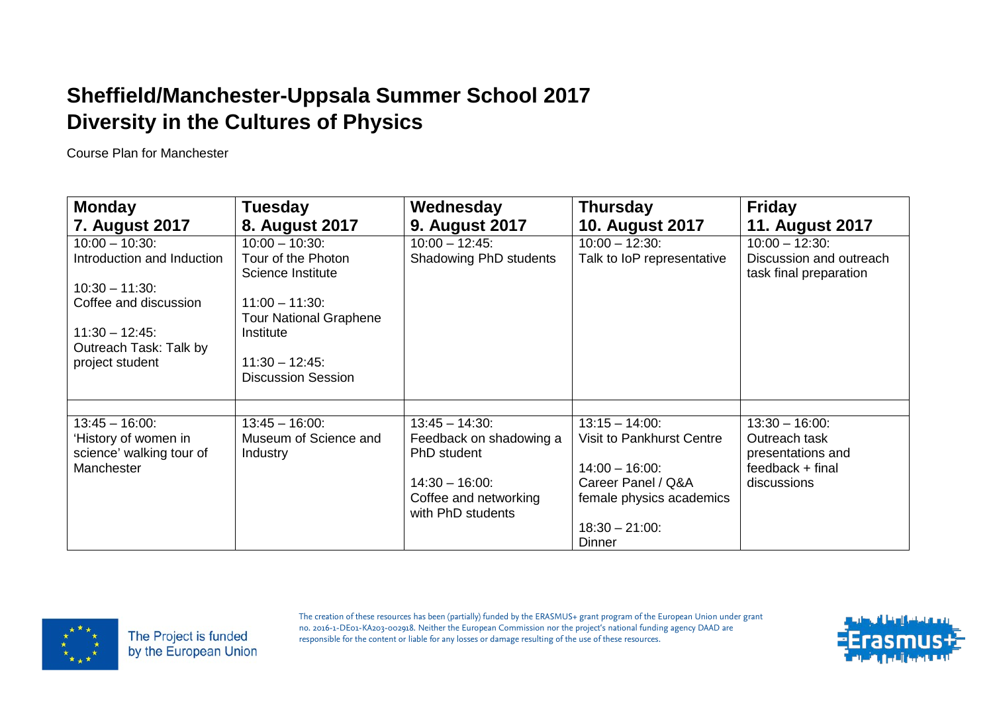Course Plan for Manchester

| <b>Monday</b>                                                  | <b>Tuesday</b>                                     | Wednesday                                  | <b>Thursday</b>                                       | <b>Friday</b>                                            |
|----------------------------------------------------------------|----------------------------------------------------|--------------------------------------------|-------------------------------------------------------|----------------------------------------------------------|
| <b>7. August 2017</b>                                          | 8. August 2017                                     | <b>9. August 2017</b>                      | <b>10. August 2017</b>                                | <b>11. August 2017</b>                                   |
| $10:00 - 10:30$ :                                              | $10:00 - 10:30$ :                                  | $10:00 - 12:45$ :                          | $10:00 - 12:30$ :                                     | $10:00 - 12:30$ :                                        |
| Introduction and Induction                                     | Tour of the Photon<br>Science Institute            | Shadowing PhD students                     | Talk to IoP representative                            | Discussion and outreach<br>task final preparation        |
| $10:30 - 11:30$ :                                              |                                                    |                                            |                                                       |                                                          |
| Coffee and discussion                                          | $11:00 - 11:30$ :<br><b>Tour National Graphene</b> |                                            |                                                       |                                                          |
| $11:30 - 12:45$ :<br>Outreach Task: Talk by                    | Institute                                          |                                            |                                                       |                                                          |
| project student                                                | $11:30 - 12:45$ :<br><b>Discussion Session</b>     |                                            |                                                       |                                                          |
|                                                                |                                                    |                                            |                                                       |                                                          |
| $13:45 - 16:00$ :                                              | $13:45 - 16:00$ :                                  | $13:45 - 14:30$ :                          | $13:15 - 14:00$ :                                     | $13:30 - 16:00$ :                                        |
| 'History of women in<br>science' walking tour of<br>Manchester | Museum of Science and<br>Industry                  | Feedback on shadowing a<br>PhD student     | <b>Visit to Pankhurst Centre</b><br>$14:00 - 16:00$ : | Outreach task<br>presentations and<br>$feedback + final$ |
|                                                                |                                                    | $14:30 - 16:00$ :                          | Career Panel / Q&A                                    | discussions                                              |
|                                                                |                                                    | Coffee and networking<br>with PhD students | female physics academics                              |                                                          |
|                                                                |                                                    |                                            | $18:30 - 21:00$ :<br>Dinner                           |                                                          |



The Project is funded by the European Union

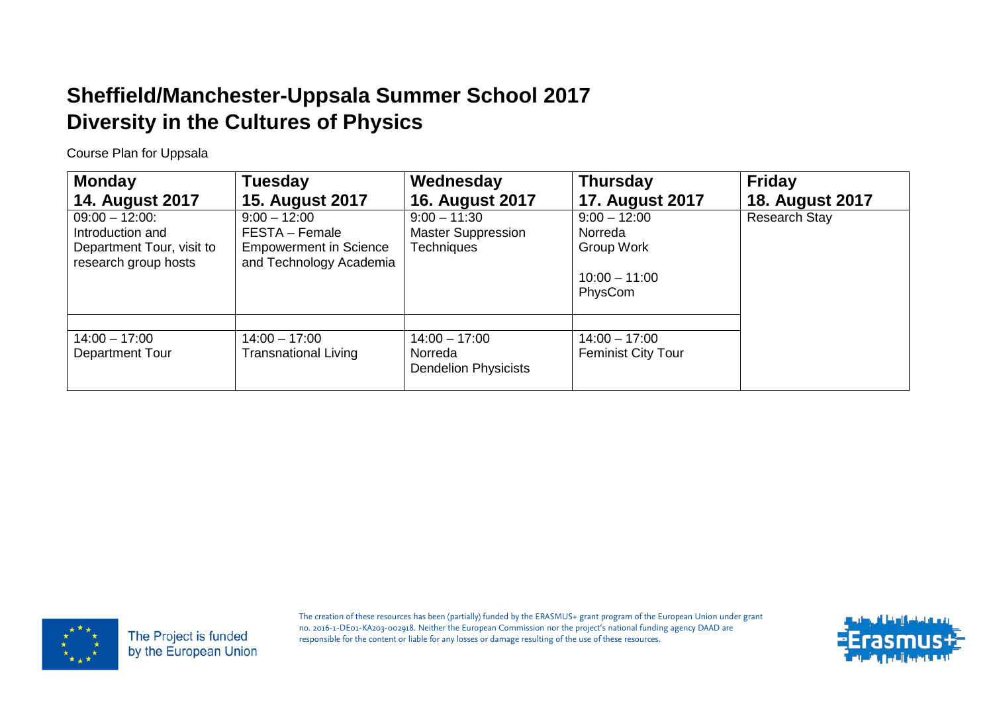Course Plan for Uppsala

| <b>Monday</b><br><b>14. August 2017</b>                                                    | <b>Tuesday</b><br><b>15. August 2017</b>                                                     | Wednesday<br><b>16. August 2017</b>                              | <b>Thursday</b><br><b>17. August 2017</b>                             | <b>Friday</b><br><b>18. August 2017</b> |
|--------------------------------------------------------------------------------------------|----------------------------------------------------------------------------------------------|------------------------------------------------------------------|-----------------------------------------------------------------------|-----------------------------------------|
| $09:00 - 12:00$ :<br>Introduction and<br>Department Tour, visit to<br>research group hosts | $9:00 - 12:00$<br>FESTA - Female<br><b>Empowerment in Science</b><br>and Technology Academia | $9:00 - 11:30$<br><b>Master Suppression</b><br><b>Techniques</b> | $9:00 - 12:00$<br>Norreda<br>Group Work<br>$10:00 - 11:00$<br>PhysCom | <b>Research Stay</b>                    |
| $14:00 - 17:00$<br>Department Tour                                                         | $14:00 - 17:00$<br><b>Transnational Living</b>                                               | $14:00 - 17:00$<br>Norreda<br><b>Dendelion Physicists</b>        | $14:00 - 17:00$<br><b>Feminist City Tour</b>                          |                                         |